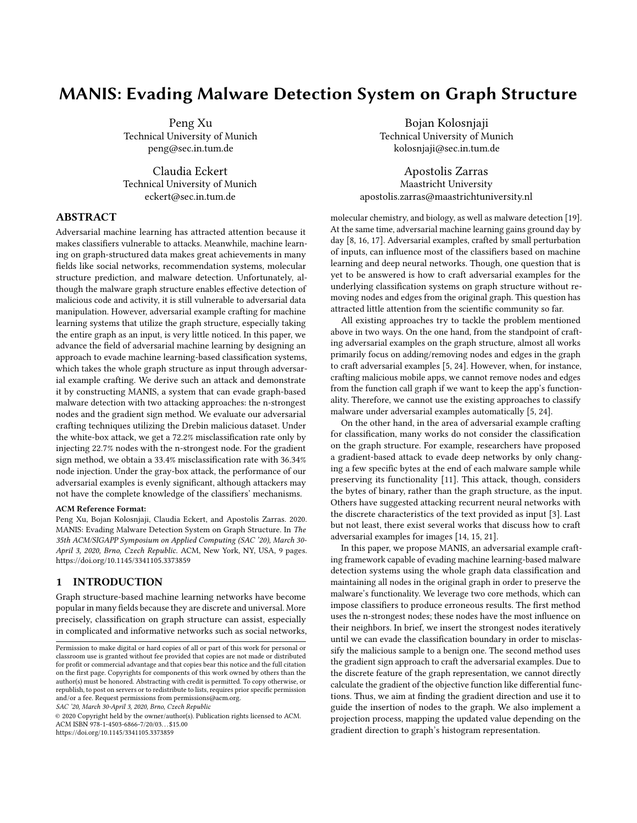# MANIS: Evading Malware Detection System on Graph Structure

Peng Xu Technical University of Munich peng@sec.in.tum.de

Claudia Eckert Technical University of Munich eckert@sec.in.tum.de

## ABSTRACT

Adversarial machine learning has attracted attention because it makes classifiers vulnerable to attacks. Meanwhile, machine learning on graph-structured data makes great achievements in many fields like social networks, recommendation systems, molecular structure prediction, and malware detection. Unfortunately, although the malware graph structure enables effective detection of malicious code and activity, it is still vulnerable to adversarial data manipulation. However, adversarial example crafting for machine learning systems that utilize the graph structure, especially taking the entire graph as an input, is very little noticed. In this paper, we advance the field of adversarial machine learning by designing an approach to evade machine learning-based classification systems, which takes the whole graph structure as input through adversarial example crafting. We derive such an attack and demonstrate it by constructing MANIS, a system that can evade graph-based malware detection with two attacking approaches: the n-strongest nodes and the gradient sign method. We evaluate our adversarial crafting techniques utilizing the Drebin malicious dataset. Under the white-box attack, we get a 72.2% misclassification rate only by injecting 22.7% nodes with the n-strongest node. For the gradient sign method, we obtain a 33.4% misclassification rate with 36.34% node injection. Under the gray-box attack, the performance of our adversarial examples is evenly significant, although attackers may not have the complete knowledge of the classifiers' mechanisms.

#### ACM Reference Format:

Peng Xu, Bojan Kolosnjaji, Claudia Eckert, and Apostolis Zarras. 2020. MANIS: Evading Malware Detection System on Graph Structure. In The 35th ACM/SIGAPP Symposium on Applied Computing (SAC '20), March 30- April 3, 2020, Brno, Czech Republic. ACM, New York, NY, USA, [9](#page-8-0) pages. <https://doi.org/10.1145/3341105.3373859>

## 1 INTRODUCTION

Graph structure-based machine learning networks have become popular in many fields because they are discrete and universal. More precisely, classification on graph structure can assist, especially in complicated and informative networks such as social networks,

SAC '20, March 30-April 3, 2020, Brno, Czech Republic

© 2020 Copyright held by the owner/author(s). Publication rights licensed to ACM. ACM ISBN 978-1-4503-6866-7/20/03. . . \$15.00 <https://doi.org/10.1145/3341105.3373859>

Bojan Kolosnjaji Technical University of Munich kolosnjaji@sec.in.tum.de

Apostolis Zarras Maastricht University apostolis.zarras@maastrichtuniversity.nl

molecular chemistry, and biology, as well as malware detection [\[19\]](#page-7-0). At the same time, adversarial machine learning gains ground day by day [\[8,](#page-7-1) [16,](#page-7-2) [17\]](#page-7-3). Adversarial examples, crafted by small perturbation of inputs, can influence most of the classifiers based on machine learning and deep neural networks. Though, one question that is yet to be answered is how to craft adversarial examples for the underlying classification systems on graph structure without removing nodes and edges from the original graph. This question has attracted little attention from the scientific community so far.

All existing approaches try to tackle the problem mentioned above in two ways. On the one hand, from the standpoint of crafting adversarial examples on the graph structure, almost all works primarily focus on adding/removing nodes and edges in the graph to craft adversarial examples [\[5,](#page-7-4) [24\]](#page-8-1). However, when, for instance, crafting malicious mobile apps, we cannot remove nodes and edges from the function call graph if we want to keep the app's functionality. Therefore, we cannot use the existing approaches to classify malware under adversarial examples automatically [\[5,](#page-7-4) [24\]](#page-8-1).

On the other hand, in the area of adversarial example crafting for classification, many works do not consider the classification on the graph structure. For example, researchers have proposed a gradient-based attack to evade deep networks by only changing a few specific bytes at the end of each malware sample while preserving its functionality [\[11\]](#page-7-5). This attack, though, considers the bytes of binary, rather than the graph structure, as the input. Others have suggested attacking recurrent neural networks with the discrete characteristics of the text provided as input [\[3\]](#page-7-6). Last but not least, there exist several works that discuss how to craft adversarial examples for images [\[14,](#page-7-7) [15,](#page-7-8) [21\]](#page-7-9).

In this paper, we propose MANIS, an adversarial example crafting framework capable of evading machine learning-based malware detection systems using the whole graph data classification and maintaining all nodes in the original graph in order to preserve the malware's functionality. We leverage two core methods, which can impose classifiers to produce erroneous results. The first method uses the n-strongest nodes; these nodes have the most influence on their neighbors. In brief, we insert the strongest nodes iteratively until we can evade the classification boundary in order to misclassify the malicious sample to a benign one. The second method uses the gradient sign approach to craft the adversarial examples. Due to the discrete feature of the graph representation, we cannot directly calculate the gradient of the objective function like differential functions. Thus, we aim at finding the gradient direction and use it to guide the insertion of nodes to the graph. We also implement a projection process, mapping the updated value depending on the gradient direction to graph's histogram representation.

Permission to make digital or hard copies of all or part of this work for personal or classroom use is granted without fee provided that copies are not made or distributed for profit or commercial advantage and that copies bear this notice and the full citation on the first page. Copyrights for components of this work owned by others than the author(s) must be honored. Abstracting with credit is permitted. To copy otherwise, or republish, to post on servers or to redistribute to lists, requires prior specific permission and/or a fee. Request permissions from permissions@acm.org.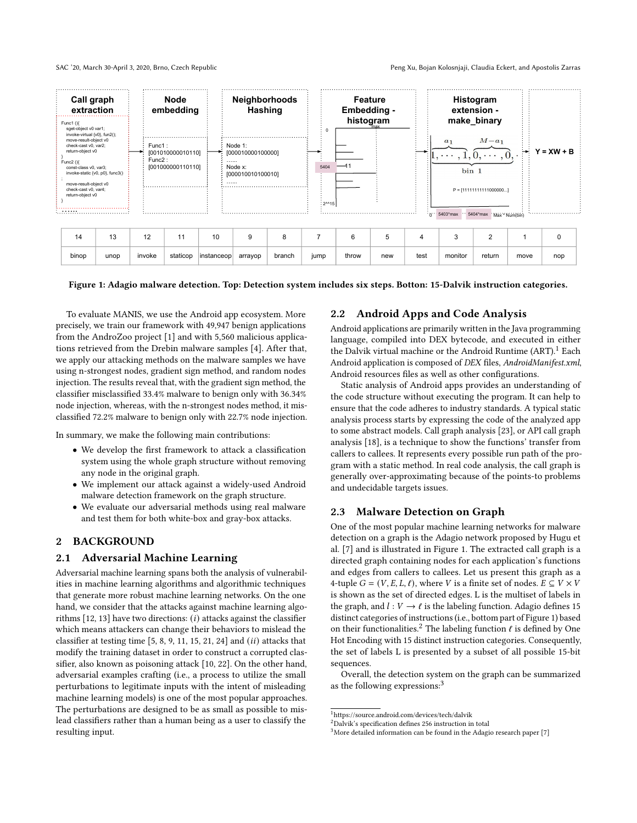<span id="page-1-1"></span>

| 14    | ∪ו   | $\overline{a}$<br>'' |          | 10           |         |        |      |       |     |      |         |        |      |     |
|-------|------|----------------------|----------|--------------|---------|--------|------|-------|-----|------|---------|--------|------|-----|
| binop | unop | invoke               | staticop | linstanceopl | arrayop | branch | iump | throw | new | test | monitor | return | move | nop |

Figure 1: Adagio malware detection. Top: Detection system includes six steps. Botton: 15-Dalvik instruction categories.

To evaluate MANIS, we use the Android app ecosystem. More precisely, we train our framework with 49,947 benign applications from the AndroZoo project [\[1\]](#page-7-10) and with 5,560 malicious applications retrieved from the Drebin malware samples [\[4\]](#page-7-11). After that, we apply our attacking methods on the malware samples we have using n-strongest nodes, gradient sign method, and random nodes injection. The results reveal that, with the gradient sign method, the classifier misclassified 33.4% malware to benign only with 36.34% node injection, whereas, with the n-strongest nodes method, it misclassified 72.2% malware to benign only with 22.7% node injection.

In summary, we make the following main contributions:

- We develop the first framework to attack a classification system using the whole graph structure without removing any node in the original graph.
- We implement our attack against a widely-used Android malware detection framework on the graph structure.
- We evaluate our adversarial methods using real malware and test them for both white-box and gray-box attacks.

## 2 BACKGROUND

## 2.1 Adversarial Machine Learning

Adversarial machine learning spans both the analysis of vulnerabilities in machine learning algorithms and algorithmic techniques that generate more robust machine learning networks. On the one hand, we consider that the attacks against machine learning algorithms  $[12, 13]$  $[12, 13]$  $[12, 13]$  have two directions:  $(i)$  attacks against the classifier which means attackers can change their behaviors to mislead the classifier at testing time  $[5, 8, 9, 11, 15, 21, 24]$  $[5, 8, 9, 11, 15, 21, 24]$  $[5, 8, 9, 11, 15, 21, 24]$  $[5, 8, 9, 11, 15, 21, 24]$  $[5, 8, 9, 11, 15, 21, 24]$  $[5, 8, 9, 11, 15, 21, 24]$  $[5, 8, 9, 11, 15, 21, 24]$  $[5, 8, 9, 11, 15, 21, 24]$  $[5, 8, 9, 11, 15, 21, 24]$  $[5, 8, 9, 11, 15, 21, 24]$  $[5, 8, 9, 11, 15, 21, 24]$  $[5, 8, 9, 11, 15, 21, 24]$  $[5, 8, 9, 11, 15, 21, 24]$  and  $(ii)$  attacks that modify the training dataset in order to construct a corrupted classifier, also known as poisoning attack [\[10,](#page-7-15) [22\]](#page-7-16). On the other hand, adversarial examples crafting (i.e., a process to utilize the small perturbations to legitimate inputs with the intent of misleading machine learning models) is one of the most popular approaches. The perturbations are designed to be as small as possible to mislead classifiers rather than a human being as a user to classify the resulting input.

## 2.2 Android Apps and Code Analysis

Android applications are primarily written in the Java programming language, compiled into DEX bytecode, and executed in either the Dalvik virtual machine or the Android Runtime (ART).<sup>[1](#page-1-0)</sup> Each Android application is composed of DEX files, AndroidManifest.xml, Android resources files as well as other configurations.

Static analysis of Android apps provides an understanding of the code structure without executing the program. It can help to ensure that the code adheres to industry standards. A typical static analysis process starts by expressing the code of the analyzed app to some abstract models. Call graph analysis [\[23\]](#page-7-17), or API call graph analysis [\[18\]](#page-7-18), is a technique to show the functions' transfer from callers to callees. It represents every possible run path of the program with a static method. In real code analysis, the call graph is generally over-approximating because of the points-to problems and undecidable targets issues.

## <span id="page-1-4"></span>2.3 Malware Detection on Graph

One of the most popular machine learning networks for malware detection on a graph is the Adagio network proposed by Hugu et al. [\[7\]](#page-7-19) and is illustrated in Figure [1.](#page-1-1) The extracted call graph is a directed graph containing nodes for each application's functions and edges from callers to callees. Let us present this graph as a 4-tuple  $G = (V, E, L, \ell)$ , where V is a finite set of nodes.  $E \subseteq V \times V$ is shown as the set of directed edges. L is the multiset of labels in the graph, and  $l: V \rightarrow \ell$  is the labeling function. Adagio defines 15 distinct categories of instructions (i.e., bottom part of Figure [1\)](#page-1-1) based on their functionalities.<sup>[2](#page-1-2)</sup> The labeling function  $\ell$  is defined by One Hot Encoding with 15 distinct instruction categories. Consequently, the set of labels L is presented by a subset of all possible 15-bit sequences.

Overall, the detection system on the graph can be summarized as the following expressions:<sup>[3](#page-1-3)</sup>

<span id="page-1-0"></span> $^1$ https://source.android.com/devices/tech/dalvik

<span id="page-1-2"></span><sup>2</sup>Dalvik's specification defines 256 instruction in total

<span id="page-1-3"></span> $3$ More detailed information can be found in the Adagio research paper [\[7\]](#page-7-19)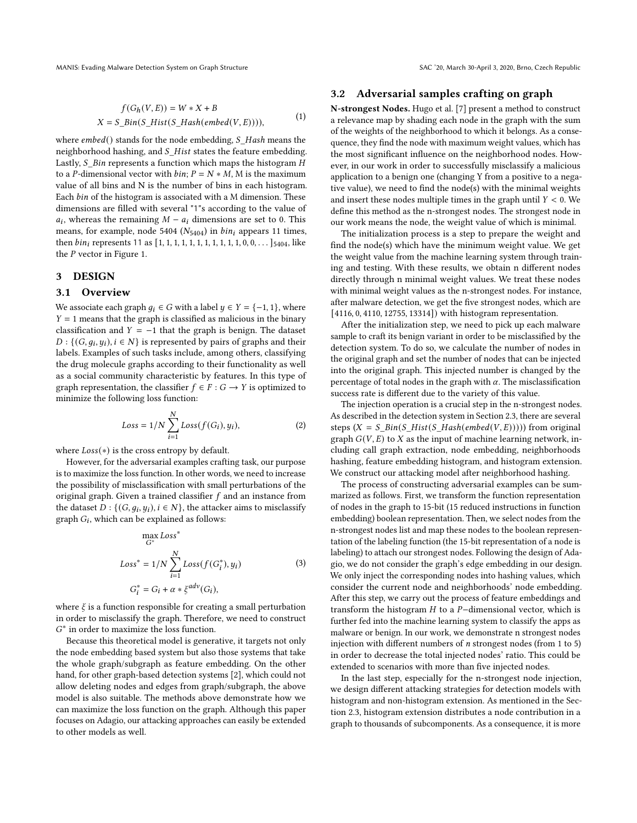MANIS: Evading Malware Detection System on Graph Structure SAC '20, March 30-April 3, 2020, Brno, Czech Republic

$$
f(G_h(V, E)) = W * X + B
$$
  

$$
X = S\_{Bin(S\_{Hist}(S\_{Hash(embed(V, E)))))},
$$
 (1)

where  $embed()$  stands for the node embedding,  $S$  Hash means the neighborhood hashing, and  $S$  Hist states the feature embedding. Lastly,  $S$ \_Bin represents a function which maps the histogram  $H$ to a P-dimensional vector with  $bin; P = N * M$ , M is the maximum value of all bins and N is the number of bins in each histogram. Each *bin* of the histogram is associated with a M dimension. These dimensions are filled with several "1"s according to the value of  $a_i$ , whereas the remaining  $M - a_i$  dimensions are set to 0. This means, for example, node 5404 ( $N_{5404}$ ) in  $bin_i$  appears 11 times, then  $\frac{bin_i}{i}$  represents 11 as [1, 1, 1, 1, 1, 1, 1, 1, 1, 1, 1, 0, 0, . . . ]  $\frac{1}{404}$ , like the  $P$  vector in Figure [1.](#page-1-1)

## <span id="page-2-0"></span>3 DESIGN

## 3.1 Overview

We associate each graph  $q_i \in G$  with a label  $y \in Y = \{-1, 1\}$ , where  $Y = 1$  means that the graph is classified as malicious in the binary classification and  $Y = -1$  that the graph is benign. The dataset  $D: \{(G, g_i, y_i), i \in N\}$  is represented by pairs of graphs and their labels. Examples of such tasks include, among others, classifying the drug molecule graphs according to their functionality as well as a social community characteristic by features. In this type of graph representation, the classifier  $f \in F : G \to Y$  is optimized to minimize the following loss function:

$$
Loss = 1/N \sum_{i=1}^{N} Loss(f(G_i), y_i),
$$
\n(2)

where  $Loss(*)$  is the cross entropy by default.

However, for the adversarial examples crafting task, our purpose is to maximize the loss function. In other words, we need to increase the possibility of misclassification with small perturbations of the original graph. Given a trained classifier  $f$  and an instance from the dataset  $D: \{(G, g_i, y_i), i \in N\}$ , the attacker aims to misclassify graph  $G_i$ , which can be explained as follows:

$$
\max_{G^*} Loss^* = 1/N \sum_{i=1}^N Loss(f(G_i^*), y_i)
$$
\n
$$
G_i^* = G_i + \alpha * \xi^{adv}(G_i),
$$
\n(3)

where  $\xi$  is a function responsible for creating a small perturbation in order to misclassify the graph. Therefore, we need to construct G<sup>\*</sup> in order to maximize the loss function.

Because this theoretical model is generative, it targets not only the node embedding based system but also those systems that take the whole graph/subgraph as feature embedding. On the other hand, for other graph-based detection systems [\[2\]](#page-7-20), which could not allow deleting nodes and edges from graph/subgraph, the above model is also suitable. The methods above demonstrate how we can maximize the loss function on the graph. Although this paper focuses on Adagio, our attacking approaches can easily be extended to other models as well.

## <span id="page-2-1"></span>3.2 Adversarial samples crafting on graph

N-strongest Nodes. Hugo et al. [\[7\]](#page-7-19) present a method to construct a relevance map by shading each node in the graph with the sum of the weights of the neighborhood to which it belongs. As a consequence, they find the node with maximum weight values, which has the most significant influence on the neighborhood nodes. However, in our work in order to successfully misclassify a malicious application to a benign one (changing Y from a positive to a negative value), we need to find the node(s) with the minimal weights and insert these nodes multiple times in the graph until  $Y < 0$ . We define this method as the n-strongest nodes. The strongest node in our work means the node, the weight value of which is minimal.

The initialization process is a step to prepare the weight and find the node(s) which have the minimum weight value. We get the weight value from the machine learning system through training and testing. With these results, we obtain n different nodes directly through n minimal weight values. We treat these nodes with minimal weight values as the n-strongest nodes. For instance, after malware detection, we get the five strongest nodes, which are [4116, 0, 4110, 12755, 13314]) with histogram representation.

After the initialization step, we need to pick up each malware sample to craft its benign variant in order to be misclassified by the detection system. To do so, we calculate the number of nodes in the original graph and set the number of nodes that can be injected into the original graph. This injected number is changed by the percentage of total nodes in the graph with  $\alpha$ . The misclassification success rate is different due to the variety of this value.

The injection operation is a crucial step in the n-strongest nodes. As described in the detection system in Section [2.3,](#page-1-4) there are several steps  $(X = S\_Bin(S\_Hist(S\_Hash(embed(V, E))))$  from original graph  $G(V, E)$  to X as the input of machine learning network, including call graph extraction, node embedding, neighborhoods hashing, feature embedding histogram, and histogram extension. We construct our attacking model after neighborhood hashing.

The process of constructing adversarial examples can be summarized as follows. First, we transform the function representation of nodes in the graph to 15-bit (15 reduced instructions in function embedding) boolean representation. Then, we select nodes from the n-strongest nodes list and map these nodes to the boolean representation of the labeling function (the 15-bit representation of a node is labeling) to attach our strongest nodes. Following the design of Adagio, we do not consider the graph's edge embedding in our design. We only inject the corresponding nodes into hashing values, which consider the current node and neighborhoods' node embedding. After this step, we carry out the process of feature embeddings and transform the histogram  $H$  to a  $P$ -dimensional vector, which is further fed into the machine learning system to classify the apps as malware or benign. In our work, we demonstrate n strongest nodes injection with different numbers of n strongest nodes (from 1 to 5) in order to decrease the total injected nodes' ratio. This could be extended to scenarios with more than five injected nodes.

In the last step, especially for the n-strongest node injection, we design different attacking strategies for detection models with histogram and non-histogram extension. As mentioned in the Section [2.3,](#page-1-4) histogram extension distributes a node contribution in a graph to thousands of subcomponents. As a consequence, it is more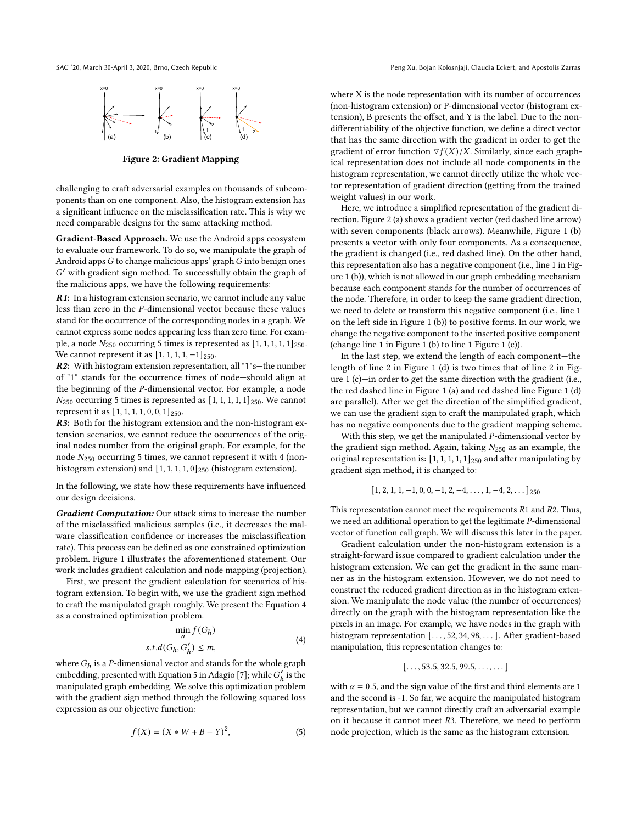<span id="page-3-1"></span>



Figure 2: Gradient Mapping

challenging to craft adversarial examples on thousands of subcomponents than on one component. Also, the histogram extension has a significant influence on the misclassification rate. This is why we need comparable designs for the same attacking method.

Gradient-Based Approach. We use the Android apps ecosystem to evaluate our framework. To do so, we manipulate the graph of Android apps  $G$  to change malicious apps' graph  $G$  into benign ones ′ with gradient sign method. To successfully obtain the graph of the malicious apps, we have the following requirements:

R1: In a histogram extension scenario, we cannot include any value less than zero in the  $P$ -dimensional vector because these values stand for the occurrence of the corresponding nodes in a graph. We cannot express some nodes appearing less than zero time. For example, a node  $N_{250}$  occurring 5 times is represented as  $[1, 1, 1, 1, 1]_{250}$ . We cannot represent it as  $[1, 1, 1, 1, -1]_{250}$ .

R2: With histogram extension representation, all "1"s—the number of "1" stands for the occurrence times of node—should align at the beginning of the  $P$ -dimensional vector. For example, a node  $N_{250}$  occurring 5 times is represented as  $[1, 1, 1, 1, 1]_{250}$ . We cannot represent it as  $[1, 1, 1, 1, 0, 0, 1]$ <sub>250</sub>.

R3: Both for the histogram extension and the non-histogram extension scenarios, we cannot reduce the occurrences of the original nodes number from the original graph. For example, for the node  $N_{250}$  occurring 5 times, we cannot represent it with 4 (nonhistogram extension) and  $[1, 1, 1, 1, 0]_{250}$  (histogram extension).

In the following, we state how these requirements have influenced our design decisions.

Gradient Computation: Our attack aims to increase the number of the misclassified malicious samples (i.e., it decreases the malware classification confidence or increases the misclassification rate). This process can be defined as one constrained optimization problem. Figure [1](#page-1-1) illustrates the aforementioned statement. Our work includes gradient calculation and node mapping (projection).

First, we present the gradient calculation for scenarios of histogram extension. To begin with, we use the gradient sign method to craft the manipulated graph roughly. We present the Equation [4](#page-3-0) as a constrained optimization problem.

$$
\min_{n} f(G_{h})
$$
  
s.t.d( $G_{h}, G'_{h}$ )  $\leq m$ , (4)

<span id="page-3-0"></span>where  $G_h$  is a P-dimensional vector and stands for the whole graph embedding, presented with Equation 5 in Adagio [\[7\]](#page-7-19); while  $G'_{h}$  is the manipulated graph embedding. We solve this optimization problem with the gradient sign method through the following squared loss expression as our objective function:

$$
f(X) = (X * W + B - Y)^2,
$$
 (5)

where X is the node representation with its number of occurrences (non-histogram extension) or P-dimensional vector (histogram extension), B presents the offset, and Y is the label. Due to the nondifferentiability of the objective function, we define a direct vector that has the same direction with the gradient in order to get the gradient of error function  $\nabla f(X)/X$ . Similarly, since each graphical representation does not include all node components in the histogram representation, we cannot directly utilize the whole vector representation of gradient direction (getting from the trained weight values) in our work.

Here, we introduce a simplified representation of the gradient direction. Figure [2](#page-3-1) (a) shows a gradient vector (red dashed line arrow) with seven components (black arrows). Meanwhile, Figure [1](#page-1-1) (b) presents a vector with only four components. As a consequence, the gradient is changed (i.e., red dashed line). On the other hand, this representation also has a negative component (i.e., line 1 in Figure [1](#page-1-1) (b)), which is not allowed in our graph embedding mechanism because each component stands for the number of occurrences of the node. Therefore, in order to keep the same gradient direction, we need to delete or transform this negative component (i.e., line 1 on the left side in Figure [1](#page-1-1) (b)) to positive forms. In our work, we change the negative component to the inserted positive component (change line 1 in Figure [1](#page-1-1) (b) to line 1 Figure [1](#page-1-1) (c)).

In the last step, we extend the length of each component—the length of line 2 in Figure [1](#page-1-1) (d) is two times that of line 2 in Figure [1](#page-1-1) (c)—in order to get the same direction with the gradient (i.e., the red dashed line in Figure [1](#page-1-1) (a) and red dashed line Figure [1](#page-1-1) (d) are parallel). After we get the direction of the simplified gradient, we can use the gradient sign to craft the manipulated graph, which has no negative components due to the gradient mapping scheme.

With this step, we get the manipulated  $P$ -dimensional vector by the gradient sign method. Again, taking  $N_{250}$  as an example, the original representation is:  $[1, 1, 1, 1, 1]_{250}$  and after manipulating by gradient sign method, it is changed to:

$$
[1, 2, 1, 1, -1, 0, 0, -1, 2, -4, \ldots, 1, -4, 2, \ldots]_{250}
$$

This representation cannot meet the requirements  $R1$  and  $R2$ . Thus, we need an additional operation to get the legitimate  $P$ -dimensional vector of function call graph. We will discuss this later in the paper.

Gradient calculation under the non-histogram extension is a straight-forward issue compared to gradient calculation under the histogram extension. We can get the gradient in the same manner as in the histogram extension. However, we do not need to construct the reduced gradient direction as in the histogram extension. We manipulate the node value (the number of occurrences) directly on the graph with the histogram representation like the pixels in an image. For example, we have nodes in the graph with histogram representation [..., 52, 34, 98, ...]. After gradient-based manipulation, this representation changes to:

$$
[\ldots, 53.5, 32.5, 99.5, \ldots, \ldots]
$$

with  $\alpha$  = 0.5, and the sign value of the first and third elements are 1 and the second is -1. So far, we acquire the manipulated histogram representation, but we cannot directly craft an adversarial example on it because it cannot meet  $R3$ . Therefore, we need to perform node projection, which is the same as the histogram extension.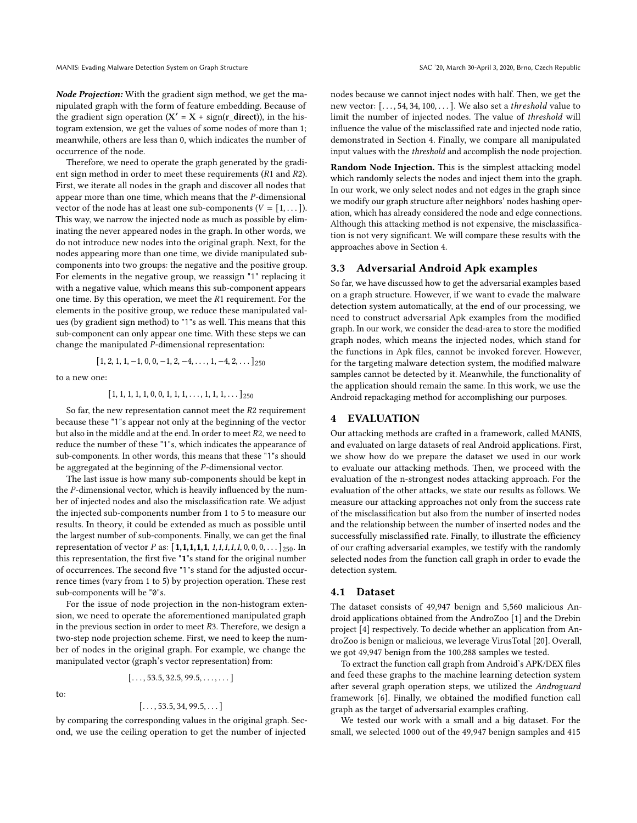Therefore, we need to operate the graph generated by the gradient sign method in order to meet these requirements ( $R1$  and  $R2$ ). First, we iterate all nodes in the graph and discover all nodes that appear more than one time, which means that the  $P$ -dimensional vector of the node has at least one sub-components  $(V = [1, \dots])$ . This way, we narrow the injected node as much as possible by eliminating the never appeared nodes in the graph. In other words, we do not introduce new nodes into the original graph. Next, for the nodes appearing more than one time, we divide manipulated subcomponents into two groups: the negative and the positive group. For elements in the negative group, we reassign "1" replacing it with a negative value, which means this sub-component appears one time. By this operation, we meet the  $R1$  requirement. For the elements in the positive group, we reduce these manipulated values (by gradient sign method) to "1"s as well. This means that this sub-component can only appear one time. With these steps we can change the manipulated  $P$ -dimensional representation:

$$
[1, 2, 1, 1, -1, 0, 0, -1, 2, -4, \ldots, 1, -4, 2, \ldots]_{250}
$$

to a new one:

$$
[\,1,1,1,1,1,0,0,1,1,1,\ldots,1,1,1,\ldots\,]_{250}
$$

So far, the new representation cannot meet the  $R2$  requirement because these "1"s appear not only at the beginning of the vector but also in the middle and at the end. In order to meet  $R2$ , we need to reduce the number of these "1"s, which indicates the appearance of sub-components. In other words, this means that these "1"s should be aggregated at the beginning of the  $P$ -dimensional vector.

The last issue is how many sub-components should be kept in the  $P$ -dimensional vector, which is heavily influenced by the number of injected nodes and also the misclassification rate. We adjust the injected sub-components number from 1 to 5 to measure our results. In theory, it could be extended as much as possible until the largest number of sub-components. Finally, we can get the final representation of vector *P* as:  $[1,1,1,1,1,1,1,1,1,0,0,0,\ldots]_{250}$ . In this representation, the first five "1"s stand for the original number of occurrences. The second five "1"s stand for the adjusted occurrence times (vary from 1 to 5) by projection operation. These rest sub-components will be "0"s.

For the issue of node projection in the non-histogram extension, we need to operate the aforementioned manipulated graph in the previous section in order to meet  $R3$ . Therefore, we design a two-step node projection scheme. First, we need to keep the number of nodes in the original graph. For example, we change the manipulated vector (graph's vector representation) from:

 $[\ldots, 53.5, 32.5, 99.5, \ldots, \ldots]$ 

to:

$$
[\ldots, 53.5, 34, 99.5, \ldots]
$$

by comparing the corresponding values in the original graph. Second, we use the ceiling operation to get the number of injected

nodes because we cannot inject nodes with half. Then, we get the new vector: [..., 54, 34, 100, ...]. We also set a *threshold* value to limit the number of injected nodes. The value of threshold will influence the value of the misclassified rate and injected node ratio, demonstrated in Section [4.](#page-4-0) Finally, we compare all manipulated input values with the threshold and accomplish the node projection.

Random Node Injection. This is the simplest attacking model which randomly selects the nodes and inject them into the graph. In our work, we only select nodes and not edges in the graph since we modify our graph structure after neighbors' nodes hashing operation, which has already considered the node and edge connections. Although this attacking method is not expensive, the misclassification is not very significant. We will compare these results with the approaches above in Section [4.](#page-4-0)

## 3.3 Adversarial Android Apk examples

So far, we have discussed how to get the adversarial examples based on a graph structure. However, if we want to evade the malware detection system automatically, at the end of our processing, we need to construct adversarial Apk examples from the modified graph. In our work, we consider the dead-area to store the modified graph nodes, which means the injected nodes, which stand for the functions in Apk files, cannot be invoked forever. However, for the targeting malware detection system, the modified malware samples cannot be detected by it. Meanwhile, the functionality of the application should remain the same. In this work, we use the Android repackaging method for accomplishing our purposes.

## <span id="page-4-0"></span>4 EVALUATION

Our attacking methods are crafted in a framework, called MANIS, and evaluated on large datasets of real Android applications. First, we show how do we prepare the dataset we used in our work to evaluate our attacking methods. Then, we proceed with the evaluation of the n-strongest nodes attacking approach. For the evaluation of the other attacks, we state our results as follows. We measure our attacking approaches not only from the success rate of the misclassification but also from the number of inserted nodes and the relationship between the number of inserted nodes and the successfully misclassified rate. Finally, to illustrate the efficiency of our crafting adversarial examples, we testify with the randomly selected nodes from the function call graph in order to evade the detection system.

#### 4.1 Dataset

The dataset consists of 49,947 benign and 5,560 malicious Android applications obtained from the AndroZoo [\[1\]](#page-7-10) and the Drebin project [\[4\]](#page-7-11) respectively. To decide whether an application from AndroZoo is benign or malicious, we leverage VirusTotal [\[20\]](#page-7-21). Overall, we got 49,947 benign from the 100,288 samples we tested.

To extract the function call graph from Android's APK/DEX files and feed these graphs to the machine learning detection system after several graph operation steps, we utilized the Androguard framework [\[6\]](#page-7-22). Finally, we obtained the modified function call graph as the target of adversarial examples crafting.

We tested our work with a small and a big dataset. For the small, we selected 1000 out of the 49,947 benign samples and 415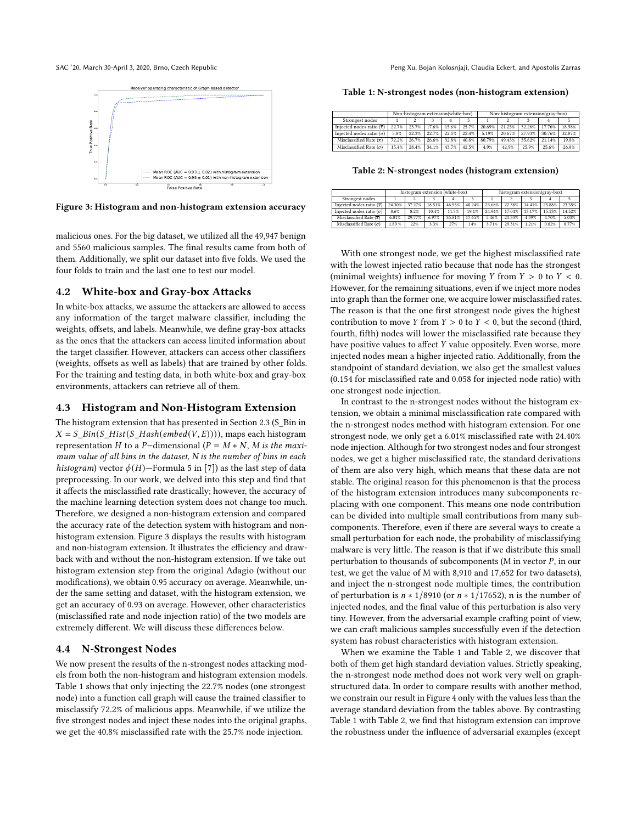<span id="page-5-0"></span>



Figure 3: Histogram and non-histogram extension accuracy

malicious ones. For the big dataset, we utilized all the 49,947 benign and 5560 malicious samples. The final results came from both of them. Additionally, we split our dataset into five folds. We used the four folds to train and the last one to test our model.

## 4.2 White-box and Gray-box Attacks

In white-box attacks, we assume the attackers are allowed to access any information of the target malware classifier, including the weights, offsets, and labels. Meanwhile, we define gray-box attacks as the ones that the attackers can access limited information about the target classifier. However, attackers can access other classifiers (weights, offsets as well as labels) that are trained by other folds. For the training and testing data, in both white-box and gray-box environments, attackers can retrieve all of them.

### 4.3 Histogram and Non-Histogram Extension

The histogram extension that has presented in Section [2.3](#page-1-4) (S\_Bin in  $X = S\_Bin(S\_Hist(S\_Hash(embed(V, E))))$ , maps each histogram representation *H* to a *P*-dimensional ( $P = M * N$ , *M* is the maximum value of all bins in the dataset, N is the number of bins in each histogram) vector  $\phi(H)$ —Formula 5 in [\[7\]](#page-7-19)) as the last step of data preprocessing. In our work, we delved into this step and find that it affects the misclassified rate drastically; however, the accuracy of the machine learning detection system does not change too much. Therefore, we designed a non-histogram extension and compared the accuracy rate of the detection system with histogram and nonhistogram extension. Figure [3](#page-5-0) displays the results with histogram and non-histogram extension. It illustrates the efficiency and drawback with and without the non-histogram extension. If we take out histogram extension step from the original Adagio (without our modifications), we obtain 0.95 accuracy on average. Meanwhile, under the same setting and dataset, with the histogram extension, we get an accuracy of 0.93 on average. However, other characteristics (misclassified rate and node injection ratio) of the two models are extremely different. We will discuss these differences below.

## 4.4 N-Strongest Nodes

We now present the results of the n-strongest nodes attacking models from both the non-histogram and histogram extension models. Table [1](#page-5-1) shows that only injecting the 22.7% nodes (one strongest node) into a function call graph will cause the trained classifier to misclassify 72.2% of malicious apps. Meanwhile, if we utilize the five strongest nodes and inject these nodes into the original graphs, we get the 40.8% misclassified rate with the 25.7% node injection.

SAC '20, March 30-April 3, 2020, Brno, Czech Republic Peng Xu, Bojan Kolosnjaji, Claudia Eckert, and Apostolis Zarras

<span id="page-5-1"></span>Table 1: N-strongest nodes (non-histogram extension)

|                                       | Non-histogram extension(white-box) |       |       |       |       | Non-histogram extension(gray-box) |        |        |        |        |  |
|---------------------------------------|------------------------------------|-------|-------|-------|-------|-----------------------------------|--------|--------|--------|--------|--|
| Strongest nodes                       |                                    |       |       |       |       |                                   |        |        |        |        |  |
| Injected nodes ratio $(\overline{x})$ | 22.7%                              | 23.7% | 17.6% | 15.6% | 25.7% | 20.69%                            | 21.25% | 32.26% | 17.76% | 18.98% |  |
| Injected nodes ratio $(\sigma)$       | 5.8%                               | 22.3% | 22.7% | 22.1% | 22.4% | 5.19%                             | 20.67% | 27.93% | 30.76% | 32.87% |  |
| Misclassified Rate $(\overline{x})$   | 72.2%                              | 26.7% | 26.6% | 32.8% | 40.8% | 80.79%                            | 49.43% | 35.62% | 21.14% | 19.8%  |  |
| Misclassified Rate $(\sigma)$         | 15.4%                              | 28.4% | 34.1% | 43.7% | 42.5% | 4.9%                              | 42.9%  | 25.9%  | 25.6%  | 26.8%  |  |
|                                       |                                    |       |       |       |       |                                   |        |        |        |        |  |

<span id="page-5-2"></span>Table 2: N-strongest nodes (histogram extension)

|                                       |        | histogram extension (white-box) |        |        |        | histogram extension(grav-box) |        |        |        |        |  |
|---------------------------------------|--------|---------------------------------|--------|--------|--------|-------------------------------|--------|--------|--------|--------|--|
| Strongest nodes                       |        |                                 |        |        |        |                               |        |        |        |        |  |
| Injected nodes ratio $(\overline{x})$ | 24.30% | 37.27%                          | 18.51% | 46.95% | 40.24% | 23.68%                        | 22.38% | 14.41% | 25.88% | 23.35% |  |
| Injected nodes ratio $(\sigma)$       | 8.6%   | 8.2%                            | 10.4%  | 11.3%  | 19.1%  | 24.94%                        | 17.04% | 13.17% | 15.13% | 14.52% |  |
| Misclassified Rate $(\overline{x})$   | 6.01%  | 29.77%                          | 6.97%  | 35.81% | 17.65% | 5.46%                         | 21.33% | 4.39%  | 4.70%  | 5.03%  |  |
| Misclassified Rate $(\sigma)$         | 1.89%  | 22%                             | 3.3%   | 27%    | 14%    | 3.71%                         | 29.31% | 1.21%  | 0.82%  | 0.77%  |  |

With one strongest node, we get the highest misclassified rate with the lowest injected ratio because that node has the strongest (minimal weights) influence for moving  $Y$  from  $Y > 0$  to  $Y < 0$ . However, for the remaining situations, even if we inject more nodes into graph than the former one, we acquire lower misclassified rates. The reason is that the one first strongest node gives the highest contribution to move Y from  $Y > 0$  to  $Y < 0$ , but the second (third, fourth, fifth) nodes will lower the misclassified rate because they have positive values to affect Y value oppositely. Even worse, more injected nodes mean a higher injected ratio. Additionally, from the standpoint of standard deviation, we also get the smallest values (0.154 for misclassified rate and 0.058 for injected node ratio) with one strongest node injection.

In contrast to the n-strongest nodes without the histogram extension, we obtain a minimal misclassification rate compared with the n-strongest nodes method with histogram extension. For one strongest node, we only get a 6.01% misclassified rate with 24.40% node injection. Although for two strongest nodes and four strongest nodes, we get a higher misclassified rate, the standard derivations of them are also very high, which means that these data are not stable. The original reason for this phenomenon is that the process of the histogram extension introduces many subcomponents replacing with one component. This means one node contribution can be divided into multiple small contributions from many subcomponents. Therefore, even if there are several ways to create a small perturbation for each node, the probability of misclassifying malware is very little. The reason is that if we distribute this small perturbation to thousands of subcomponents (M in vector  $P$ , in our test, we get the value of M with 8,910 and 17,652 for two datasets), and inject the n-strongest node multiple times, the contribution of perturbation is  $n * 1/8910$  (or  $n * 1/17652$ ), n is the number of injected nodes, and the final value of this perturbation is also very tiny. However, from the adversarial example crafting point of view, we can craft malicious samples successfully even if the detection system has robust characteristics with histogram extension.

When we examine the Table [1](#page-5-1) and Table [2,](#page-5-2) we discover that both of them get high standard deviation values. Strictly speaking, the n-strongest node method does not work very well on graphstructured data. In order to compare results with another method, we constrain our result in Figure [4](#page-6-0) only with the values less than the average standard deviation from the tables above. By contrasting Table [1](#page-5-1) with Table [2,](#page-5-2) we find that histogram extension can improve the robustness under the influence of adversarial examples (except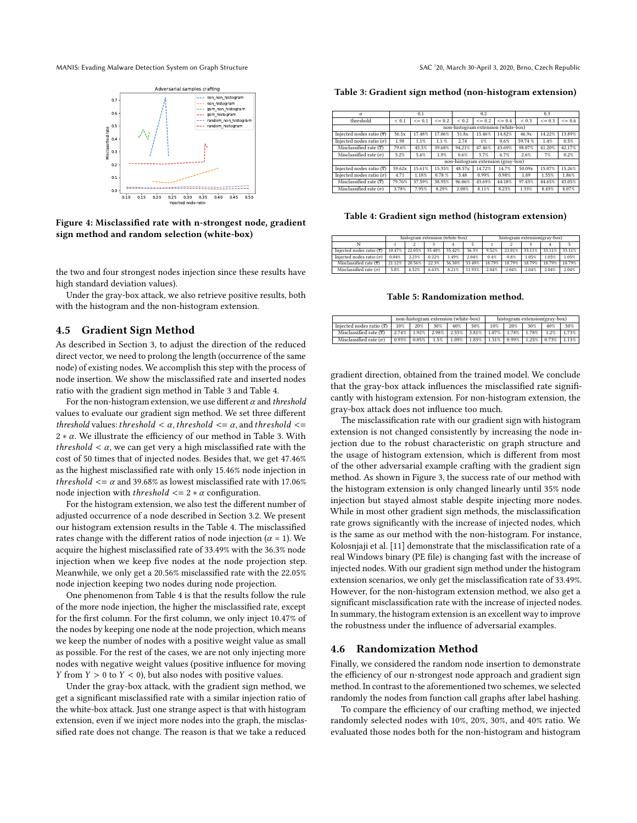#### <span id="page-6-0"></span>MANIS: Evading Malware Detection System on Graph Structure SAC '20, March 30-April 3, 2020, Brno, Czech Republic



Figure 4: Misclassified rate with n-strongest node, gradient sign method and random selection (white-box)

the two and four strongest nodes injection since these results have high standard deviation values).

Under the gray-box attack, we also retrieve positive results, both with the histogram and the non-histogram extension.

## 4.5 Gradient Sign Method

As described in Section [3,](#page-2-0) to adjust the direction of the reduced direct vector, we need to prolong the length (occurrence of the same node) of existing nodes. We accomplish this step with the process of node insertion. We show the misclassified rate and inserted nodes ratio with the gradient sign method in Table [3](#page-6-1) and Table [4.](#page-6-2)

For the non-histogram extension, we use different  $\alpha$  and threshold values to evaluate our gradient sign method. We set three different threshold values: threshold  $<\alpha$ , threshold  $<=\alpha$ , and threshold  $<=$  $2 * \alpha$ . We illustrate the efficiency of our method in Table [3.](#page-6-1) With *threshold*  $\lt \alpha$ , we can get very a high misclassified rate with the cost of 50 times that of injected nodes. Besides that, we get 47.46% as the highest misclassified rate with only 15.46% node injection in *threshold*  $\leq \alpha$  and 39.68% as lowest misclassified rate with 17.06% node injection with *threshold*  $\langle 2 \times \alpha \rangle$  configuration.

For the histogram extension, we also test the different number of adjusted occurrence of a node described in Section [3.2.](#page-2-1) We present our histogram extension results in the Table [4.](#page-6-2) The misclassified rates change with the different ratios of node injection ( $\alpha = 1$ ). We acquire the highest misclassified rate of 33.49% with the 36.3% node injection when we keep five nodes at the node projection step. Meanwhile, we only get a 20.56% misclassified rate with the 22.05% node injection keeping two nodes during node projection.

One phenomenon from Table [4](#page-6-2) is that the results follow the rule of the more node injection, the higher the misclassified rate, except for the first column. For the first column, we only inject 10.47% of the nodes by keeping one node at the node projection, which means we keep the number of nodes with a positive weight value as small as possible. For the rest of the cases, we are not only injecting more nodes with negative weight values (positive influence for moving *Y* from  $Y > 0$  to  $Y < 0$ , but also nodes with positive values.

Under the gray-box attack, with the gradient sign method, we get a significant misclassified rate with a similar injection ratio of the white-box attack. Just one strange aspect is that with histogram extension, even if we inject more nodes into the graph, the misclassified rate does not change. The reason is that we take a reduced

<span id="page-6-1"></span>Table 3: Gradient sign method (non-histogram extension)

| $\alpha$                              |           | 0.1          |              |           | 0.2.         |                                     |           | 0.3      |              |
|---------------------------------------|-----------|--------------|--------------|-----------|--------------|-------------------------------------|-----------|----------|--------------|
| threshold                             | ${}< 0.1$ | $\leq$ = 0.1 | $\leq$ = 0.2 | ${}< 0.2$ | $\leq$ = 0.2 | $\leq$ = 0.4                        | ${}< 0.3$ | $<= 0.3$ | $\leq$ = 0.6 |
|                                       |           |              |              |           |              | non-histogram extension (white-box) |           |          |              |
| Injected nodes ratio $(\overline{x})$ | 56.5x     | 17.48%       | 17.06%       | 51.8x     | 15.46%       | 14.82%                              | 46.9x     | 14.22%   | 13.89%       |
| Injected nodes ratio $(\sigma)$       | 1.98      | 1.1%         | $1.1 \%$     | 2.74      | $1\%$        | 0.6%                                | 59.74%    | 1.4%     | 0.5%         |
| Misclassified rate $(\overline{x})$   | 79.6%     | 45.3%        | 39.68%       | 94.21%    | 47.46%       | 43.69%                              | 98.07%    | 41.20%   | 42.17%       |
| Misclassified rate $(\sigma)$         | 5.2%      | 5.6%         | 1.9%         | 0.6%      | 3.7%         | 6.7%                                | 2.6%      | 7%       | 0.2%         |
|                                       |           |              |              |           |              | non-histogram extension (gray-box)  |           |          |              |
| Injected nodes ratio $(\overline{x})$ | 59.62x    | 15.61%       | 15.35%       | 48.57x    | 14.72%       | 14.7%                               | 50.09x    | 15.07%   | 15.26%       |
| Injected nodes ratio ( $\sigma$ )     | 4.71      | 1.18%        | 0.78%        | 3.48      | 0.99%        | 0.98%                               | 1.89      | 1.55%    | 1.86%        |
| Misclassified rate $(\overline{x})$   | 79.76%    | 37.59%       | 38.95%       | 96.06%    | 43.69%       | 44.18%                              | 97.43%    | 44.65%   | 43.05%       |
| Misclassified rate $(\sigma)$         | 3.78%     | 7.95%        | 8.29%        | 2.08%     | 8.11%        | 8.23%                               | 1.33%     | 8.43%    | 8.07%        |

#### <span id="page-6-2"></span>Table 4: Gradient sign method (histogram extension)

|                                       | histogram extension (white-box) |        |        |        |        |        | histogram extension(gray-box) |        |        |        |  |  |
|---------------------------------------|---------------------------------|--------|--------|--------|--------|--------|-------------------------------|--------|--------|--------|--|--|
|                                       |                                 |        |        |        |        |        |                               |        |        |        |  |  |
| Injected nodes ratio $(\overline{x})$ | 10.47%                          | 22.05% | 35.40% | 35.42% | 36.3%  | 9.52%  | 21.01%                        | 33.11% | 33.11% | 33.11% |  |  |
| Injected nodes ratio $(\sigma)$       | 0.04%                           | 2.23%  | 0.22%  | 1.49%  | 2.04%  | 0.4%   | 0.8%                          | 1.05%  | 1.05%  | 1.05%  |  |  |
| Misclassified rate $(\overline{x})$   | 21.12%                          | 20.56% | 22.3%  | 36.30% | 33.49% | 18.79% | 18.79%                        | 18.79% | 18.79% | 18.79% |  |  |
| Misclassified rate $(\sigma)$         | 5.8%                            | 6.52%  | 6.63%  | 8.21%  | 11.93% | 2.04%  | 2.04%                         | 2.04%  | 2.04%  | 2.04%  |  |  |

#### Table 5: Randomization method.

<span id="page-6-3"></span>

|                                                                                                |        | non-histogram extension (white-box) |     |        | histogram extension(gray-box) |        |        |        |                                                                                      |       |
|------------------------------------------------------------------------------------------------|--------|-------------------------------------|-----|--------|-------------------------------|--------|--------|--------|--------------------------------------------------------------------------------------|-------|
| Injected nodes ratio $(\overline{x})$                                                          | $10\%$ | $20\%$                              | 30% | $40\%$ | 50%                           | $10\%$ | $20\%$ | $30\%$ | $40\%$                                                                               | 50%   |
| Misclassified rate $(\bar{x})$   2.74%   1.92%   2.98%   2.55%   3.81%   1.87%   1.78%   1.78% |        |                                     |     |        |                               |        |        |        | 1.2%                                                                                 | 1.73% |
| Misclassified rate $(\sigma)$   0.93%   0.85%                                                  |        |                                     |     |        |                               |        |        |        | $1.5\%$   $1.09\%$   $1.83\%$   $1.31\%$   $0.99\%$   $1.25\%$   $0.73\%$   $1.13\%$ |       |

gradient direction, obtained from the trained model. We conclude that the gray-box attack influences the misclassified rate significantly with histogram extension. For non-histogram extension, the gray-box attack does not influence too much.

The misclassification rate with our gradient sign with histogram extension is not changed consistently by increasing the node injection due to the robust characteristic on graph structure and the usage of histogram extension, which is different from most of the other adversarial example crafting with the gradient sign method. As shown in Figure [3,](#page-5-0) the success rate of our method with the histogram extension is only changed linearly until 35% node injection but stayed almost stable despite injecting more nodes. While in most other gradient sign methods, the misclassification rate grows significantly with the increase of injected nodes, which is the same as our method with the non-histogram. For instance, Kolosnjaji et al. [\[11\]](#page-7-5) demonstrate that the misclassification rate of a real Windows binary (PE file) is changing fast with the increase of injected nodes. With our gradient sign method under the histogram extension scenarios, we only get the misclassification rate of 33.49%. However, for the non-histogram extension method, we also get a significant misclassification rate with the increase of injected nodes. In summary, the histogram extension is an excellent way to improve the robustness under the influence of adversarial examples.

#### 4.6 Randomization Method

Finally, we considered the random node insertion to demonstrate the efficiency of our n-strongest node approach and gradient sign method. In contrast to the aforementioned two schemes, we selected randomly the nodes from function call graphs after label hashing.

To compare the efficiency of our crafting method, we injected randomly selected nodes with 10%, 20%, 30%, and 40% ratio. We evaluated those nodes both for the non-histogram and histogram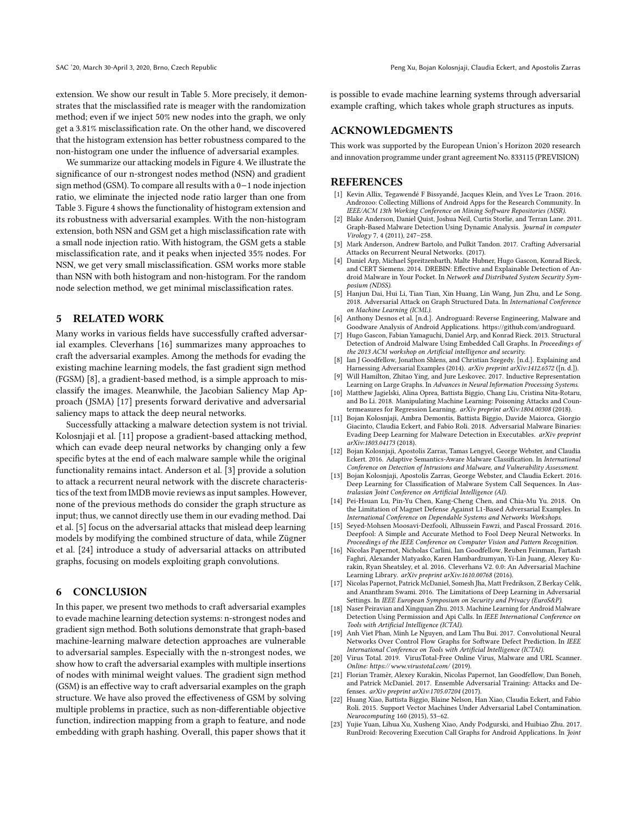extension. We show our result in Table [5.](#page-6-3) More precisely, it demonstrates that the misclassified rate is meager with the randomization method; even if we inject 50% new nodes into the graph, we only get a 3.81% misclassification rate. On the other hand, we discovered that the histogram extension has better robustness compared to the non-histogram one under the influence of adversarial examples.

We summarize our attacking models in Figure [4.](#page-6-0) We illustrate the significance of our n-strongest nodes method (NSN) and gradient sign method (GSM). To compare all results with a 0−1 node injection ratio, we eliminate the injected node ratio larger than one from Table [3.](#page-6-1) Figure [4](#page-6-0) shows the functionality of histogram extension and its robustness with adversarial examples. With the non-histogram extension, both NSN and GSM get a high misclassification rate with a small node injection ratio. With histogram, the GSM gets a stable misclassification rate, and it peaks when injected 35% nodes. For NSN, we get very small misclassification. GSM works more stable than NSN with both histogram and non-histogram. For the random node selection method, we get minimal misclassification rates.

## 5 RELATED WORK

Many works in various fields have successfully crafted adversarial examples. Cleverhans [\[16\]](#page-7-2) summarizes many approaches to craft the adversarial examples. Among the methods for evading the existing machine learning models, the fast gradient sign method (FGSM) [\[8\]](#page-7-1), a gradient-based method, is a simple approach to misclassify the images. Meanwhile, the Jacobian Saliency Map Approach (JSMA) [\[17\]](#page-7-3) presents forward derivative and adversarial saliency maps to attack the deep neural networks.

Successfully attacking a malware detection system is not trivial. Kolosnjaji et al. [\[11\]](#page-7-5) propose a gradient-based attacking method, which can evade deep neural networks by changing only a few specific bytes at the end of each malware sample while the original functionality remains intact. Anderson et al. [\[3\]](#page-7-6) provide a solution to attack a recurrent neural network with the discrete characteristics of the text from IMDB movie reviews as input samples. However, none of the previous methods do consider the graph structure as input; thus, we cannot directly use them in our evading method. Dai et al. [\[5\]](#page-7-4) focus on the adversarial attacks that mislead deep learning models by modifying the combined structure of data, while Zügner et al. [\[24\]](#page-8-1) introduce a study of adversarial attacks on attributed graphs, focusing on models exploiting graph convolutions.

## 6 CONCLUSION

In this paper, we present two methods to craft adversarial examples to evade machine learning detection systems: n-strongest nodes and gradient sign method. Both solutions demonstrate that graph-based machine-learning malware detection approaches are vulnerable to adversarial samples. Especially with the n-strongest nodes, we show how to craft the adversarial examples with multiple insertions of nodes with minimal weight values. The gradient sign method (GSM) is an effective way to craft adversarial examples on the graph structure. We have also proved the effectiveness of GSM by solving multiple problems in practice, such as non-differentiable objective function, indirection mapping from a graph to feature, and node embedding with graph hashing. Overall, this paper shows that it is possible to evade machine learning systems through adversarial example crafting, which takes whole graph structures as inputs.

## ACKNOWLEDGMENTS

This work was supported by the European Union's Horizon 2020 research and innovation programme under grant agreement No. 833115 (PREVISION)

### REFERENCES

- <span id="page-7-10"></span>[1] Kevin Allix, Tegawendé F Bissyandé, Jacques Klein, and Yves Le Traon. 2016. Androzoo: Collecting Millions of Android Apps for the Research Community. In IEEE/ACM 13th Working Conference on Mining Software Repositories (MSR).
- <span id="page-7-20"></span>[2] Blake Anderson, Daniel Quist, Joshua Neil, Curtis Storlie, and Terran Lane. 2011. Graph-Based Malware Detection Using Dynamic Analysis. Journal in computer Virology 7, 4 (2011), 247–258.
- <span id="page-7-6"></span>[3] Mark Anderson, Andrew Bartolo, and Pulkit Tandon. 2017. Crafting Adversarial Attacks on Recurrent Neural Networks. (2017).
- <span id="page-7-11"></span>[4] Daniel Arp, Michael Spreitzenbarth, Malte Hubner, Hugo Gascon, Konrad Rieck, and CERT Siemens. 2014. DREBIN: Effective and Explainable Detection of Android Malware in Your Pocket. In Network and Distributed System Security Symposium (NDSS).
- <span id="page-7-4"></span>[5] Hanjun Dai, Hui Li, Tian Tian, Xin Huang, Lin Wang, Jun Zhu, and Le Song. 2018. Adversarial Attack on Graph Structured Data. In International Conference on Machine Learning (ICML).
- <span id="page-7-22"></span>[6] Anthony Desnos et al. [n.d.]. Androguard: Reverse Engineering, Malware and Goodware Analysis of Android Applications. [https://github.com/androguard.](https://github.com/androguard)
- <span id="page-7-19"></span>[7] Hugo Gascon, Fabian Yamaguchi, Daniel Arp, and Konrad Rieck. 2013. Structural Detection of Android Malware Using Embedded Call Graphs. In Proceedings of the 2013 ACM workshop on Artificial intelligence and security.
- <span id="page-7-1"></span>[8] Ian J Goodfellow, Jonathon Shlens, and Christian Szegedy. [n.d.]. Explaining and Harnessing Adversarial Examples (2014). arXiv preprint arXiv:1412.6572 ([n. d.]). [9] Will Hamilton, Zhitao Ying, and Jure Leskovec. 2017. Inductive Representation
- <span id="page-7-14"></span>Learning on Large Graphs. In Advances in Neural Information Processing Systems.
- <span id="page-7-15"></span>[10] Matthew Jagielski, Alina Oprea, Battista Biggio, Chang Liu, Cristina Nita-Rotaru, and Bo Li. 2018. Manipulating Machine Learning: Poisoning Attacks and Countermeasures for Regression Learning. arXiv preprint arXiv:1804.00308 (2018).
- <span id="page-7-5"></span>[11] Bojan Kolosnjaji, Ambra Demontis, Battista Biggio, Davide Maiorca, Giorgio Giacinto, Claudia Eckert, and Fabio Roli. 2018. Adversarial Malware Binaries: Evading Deep Learning for Malware Detection in Executables. arXiv preprint arXiv:1803.04173 (2018).
- <span id="page-7-12"></span>[12] Bojan Kolosnjaji, Apostolis Zarras, Tamas Lengyel, George Webster, and Claudia Eckert. 2016. Adaptive Semantics-Aware Malware Classification. In International Conference on Detection of Intrusions and Malware, and Vulnerability Assessment.
- <span id="page-7-13"></span>[13] Bojan Kolosnjaji, Apostolis Zarras, George Webster, and Claudia Eckert. 2016. Deep Learning for Classification of Malware System Call Sequences. In Australasian Joint Conference on Artificial Intelligence (AI).
- <span id="page-7-7"></span>[14] Pei-Hsuan Lu, Pin-Yu Chen, Kang-Cheng Chen, and Chia-Mu Yu. 2018. On the Limitation of Magnet Defense Against L1-Based Adversarial Examples. In International Conference on Dependable Systems and Networks Workshops.
- <span id="page-7-8"></span>[15] Seyed-Mohsen Moosavi-Dezfooli, Alhussein Fawzi, and Pascal Frossard. 2016. Deepfool: A Simple and Accurate Method to Fool Deep Neural Networks. In Proceedings of the IEEE Conference on Computer Vision and Pattern Recognition.
- <span id="page-7-2"></span>[16] Nicolas Papernot, Nicholas Carlini, Ian Goodfellow, Reuben Feinman, Fartash Faghri, Alexander Matyasko, Karen Hambardzumyan, Yi-Lin Juang, Alexey Kurakin, Ryan Sheatsley, et al. 2016. Cleverhans V2. 0.0: An Adversarial Machine Learning Library. arXiv preprint arXiv:1610.00768 (2016).
- <span id="page-7-3"></span>[17] Nicolas Papernot, Patrick McDaniel, Somesh Jha, Matt Fredrikson, Z Berkay Celik, and Ananthram Swami. 2016. The Limitations of Deep Learning in Adversarial Settings. In IEEE European Symposium on Security and Privacy (EuroS&P).
- <span id="page-7-18"></span>[18] Naser Peiravian and Xingquan Zhu. 2013. Machine Learning for Android Malware Detection Using Permission and Api Calls. In IEEE International Conference on Tools with Artificial Intelligence (ICTAI).
- <span id="page-7-0"></span>[19] Anh Viet Phan, Minh Le Nguyen, and Lam Thu Bui. 2017. Convolutional Neural Networks Over Control Flow Graphs for Software Defect Prediction. In IEEE International Conference on Tools with Artificial Intelligence (ICTAI).
- <span id="page-7-21"></span>[20] Virus Total. 2019. VirusTotal-Free Online Virus, Malware and URL Scanner. Online:<https://www.virustotal.com/> (2019).
- <span id="page-7-9"></span>[21] Florian Tramèr, Alexey Kurakin, Nicolas Papernot, Ian Goodfellow, Dan Boneh, and Patrick McDaniel. 2017. Ensemble Adversarial Training: Attacks and Defenses. arXiv preprint arXiv:1705.07204 (2017).
- <span id="page-7-16"></span>[22] Huang Xiao, Battista Biggio, Blaine Nelson, Han Xiao, Claudia Eckert, and Fabio Roli. 2015. Support Vector Machines Under Adversarial Label Contamination. Neurocomputing 160 (2015), 53–62.
- <span id="page-7-17"></span>[23] Yujie Yuan, Lihua Xu, Xusheng Xiao, Andy Podgurski, and Huibiao Zhu. 2017. RunDroid: Recovering Execution Call Graphs for Android Applications. In Joint